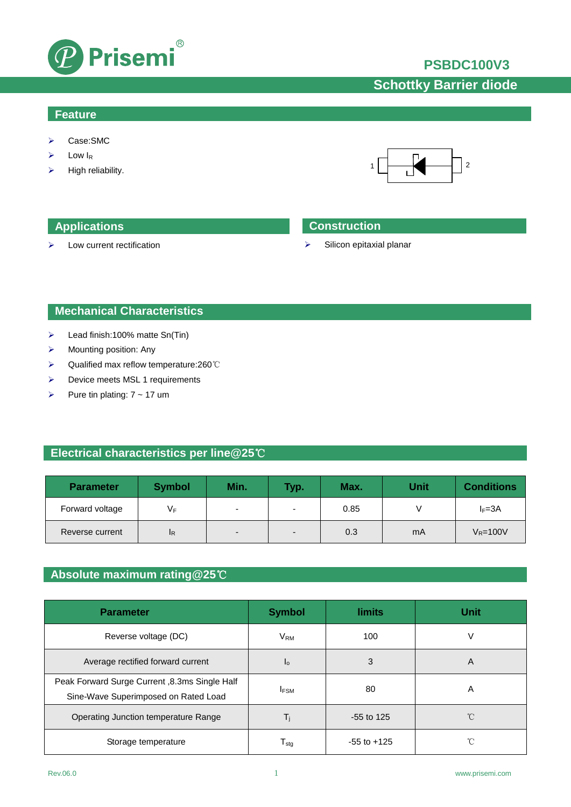

### **PSBDC100V3**

# **Schottky Barrier diode**

### **Feature**

- Case:SMC
- $\triangleright$  Low I<sub>R</sub>
- High reliability.



 $\triangleright$  Low current rectification

### **Applications Construction**

 $\triangleright$  Silicon epitaxial planar

### **Mechanical Characteristics**

- $\blacktriangleright$  Lead finish:100% matte Sn(Tin)
- $\triangleright$  Mounting position: Any
- Qualified max reflow temperature:260℃
- > Device meets MSL 1 requirements
- Pure tin plating:  $7 \sim 17$  um

### **Electrical characteristics per line@25**℃

| <b>Parameter</b> | <b>Symbol</b> | Min.                     | <b>Typ.</b>              | Max. | <b>Unit</b> | <b>Conditions</b> |
|------------------|---------------|--------------------------|--------------------------|------|-------------|-------------------|
| Forward voltage  | VF            |                          | ۰                        | 0.85 |             | $I_F = 3A$        |
| Reverse current  | IR.           | $\overline{\phantom{0}}$ | $\overline{\phantom{0}}$ | 0.3  | mA          | $V_R = 100V$      |

### **Absolute maximum rating@25**℃

| <b>Parameter</b>                                                                      | <b>Symbol</b>     | <b>limits</b>   | <b>Unit</b> |
|---------------------------------------------------------------------------------------|-------------------|-----------------|-------------|
| Reverse voltage (DC)                                                                  | $V_{\mathsf{RM}}$ | 100             | V           |
| Average rectified forward current                                                     | I <sub>0</sub>    | 3               | A           |
| Peak Forward Surge Current, 8.3ms Single Half<br>Sine-Wave Superimposed on Rated Load | <b>IFSM</b>       | 80              | A           |
| Operating Junction temperature Range                                                  | Ti                | $-55$ to 125    | °C          |
| Storage temperature                                                                   | I <sub>stq</sub>  | $-55$ to $+125$ | °C          |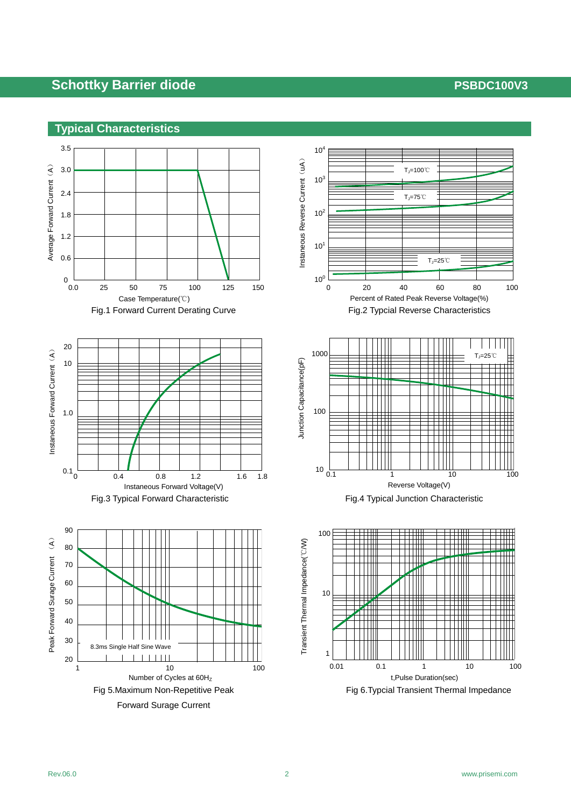## **Schottky Barrier diode** *PSBDC100V3*







t,Pulse Duration(sec)

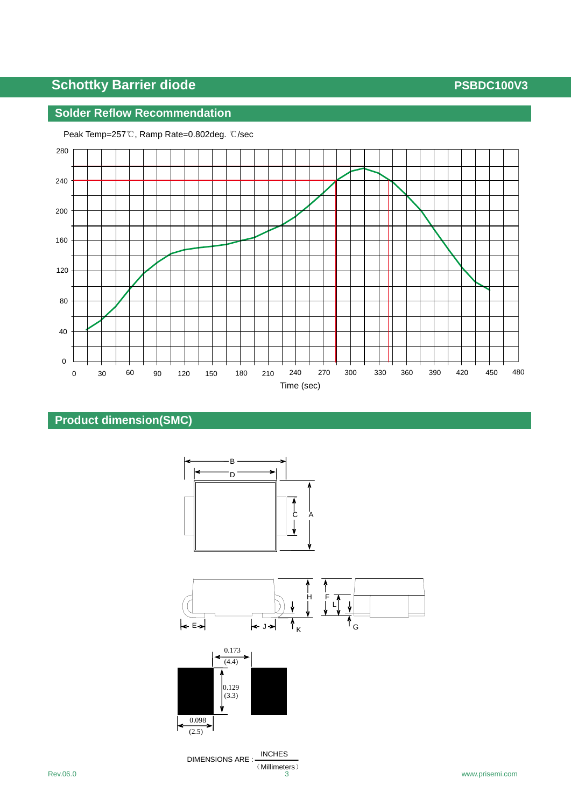# **Schottky Barrier diode PSBDC100V3**

### **Solder Reflow Recommendation**



Peak Temp=257℃, Ramp Rate=0.802deg. ℃/sec

## **Product dimension(SMC)**



Rev.06.0 www.prisemi.com 3 www.prisemi.com 3 www.prisemi.com 3 www.prisemi.com DIMENSIONS ARE : INCHES (Millimeters)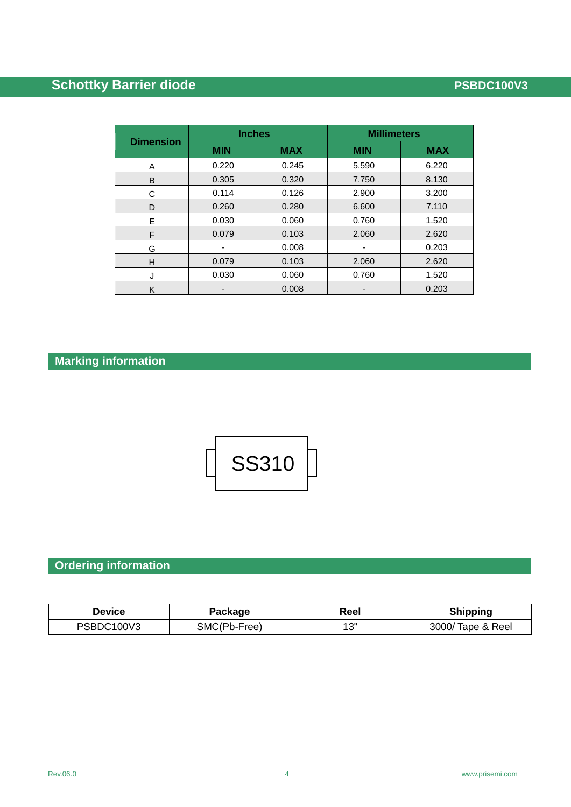# **Schottky Barrier diode PSBDC100V3**

| <b>Dimension</b> | <b>Inches</b> |            | <b>Millimeters</b> |            |  |
|------------------|---------------|------------|--------------------|------------|--|
|                  | <b>MIN</b>    | <b>MAX</b> | <b>MIN</b>         | <b>MAX</b> |  |
| A                | 0.220         | 0.245      | 5.590              | 6.220      |  |
| B                | 0.305         | 0.320      | 7.750              | 8.130      |  |
| С                | 0.114         | 0.126      | 2.900              | 3.200      |  |
| D                | 0.260         | 0.280      | 6.600              | 7.110      |  |
| Е                | 0.030         | 0.060      | 0.760              | 1.520      |  |
| F                | 0.079         | 0.103      | 2.060              | 2.620      |  |
| G                |               | 0.008      |                    | 0.203      |  |
| H                | 0.079         | 0.103      | 2.060              | 2.620      |  |
| J                | 0.030         | 0.060      | 0.760              | 1.520      |  |
| K                |               | 0.008      |                    | 0.203      |  |

# **Marking information**



# **Ordering information**

| Device     | Package      | Reel | <b>Shipping</b>   |
|------------|--------------|------|-------------------|
| PSBDC100V3 | SMC(Pb-Free) | 13"  | 3000/ Tape & Reel |